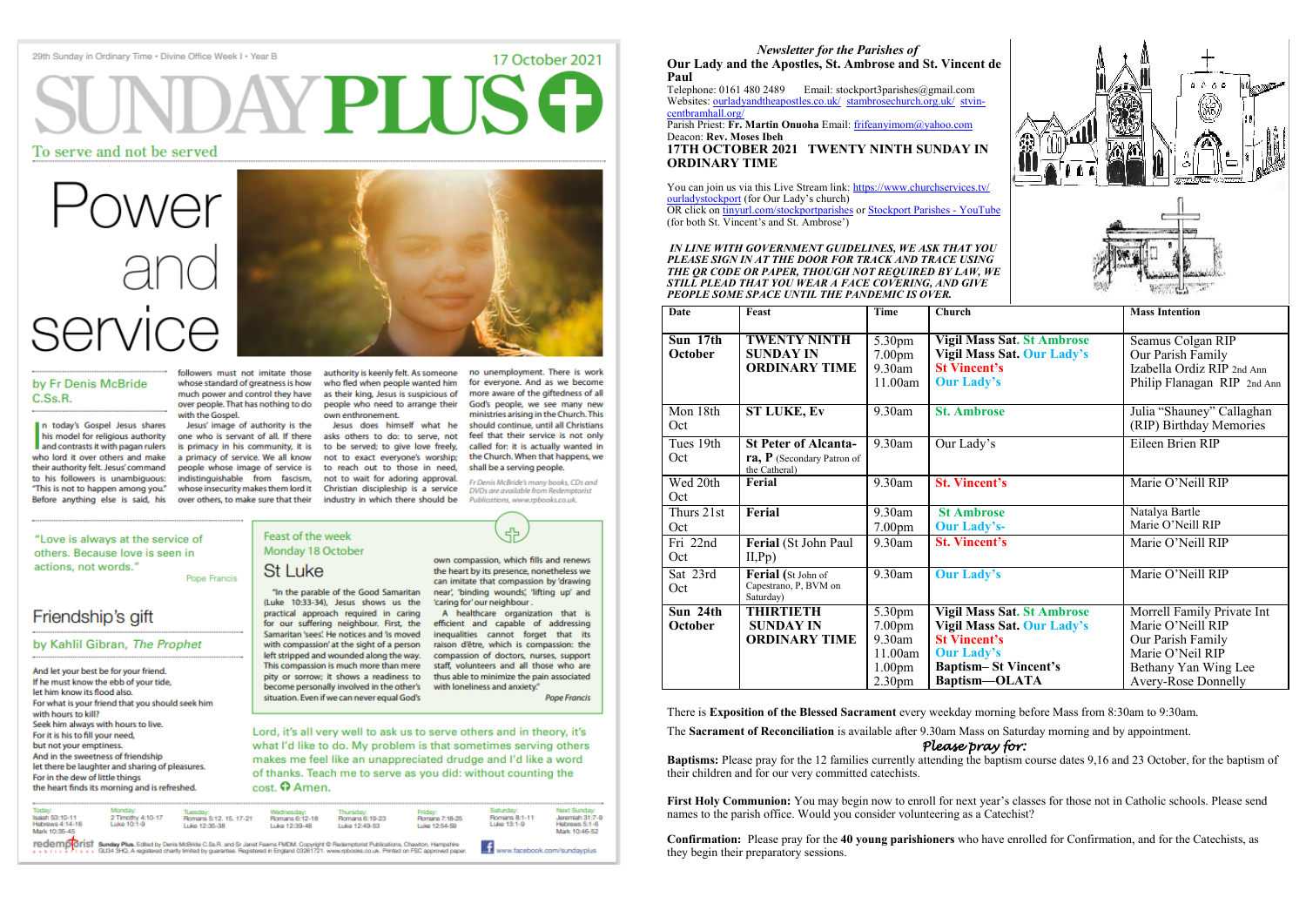#### 29th Sunday in Ordinary Time . Divine Office Week I . Year B

# AYPLIJSO

# To serve and not be served

# *Wer*

# by Fr Denis McBride C.Ss.R.

n today's Gospel Jesus shares their authority felt. Jesus' command Before anything else is said, his

followers must not imitate those whose standard of greatness is how much power and control they have over people. That has nothing to do with the Gospel.

Jesus' image of authority is the who lord it over others and make a primacy of service. We all know people whose image of service is over others, to make sure that their

authority is keenly felt. As someone who fled when people wanted him as their king, Jesus is suspicious of people who need to arrange their own enthronement.

Jesus does himself what he his model for religious authority one who is servant of all. If there asks others to do: to serve, not and contrasts it with pagan rulers is primacy in his community, it is to be served; to give love freely, not to exact everyone's worship; to reach out to those in need, to his followers is unambiguous: indistinguishable from fascism, not to wait for adoring approval. "This is not to happen among you." whose insecurity makes them lord it Christian discipleship is a service industry in which there should be

no unemployment. There is work for everyone. And as we become more aware of the giftedness of all God's people, we see many new ministries arising in the Church. This should continue, until all Christians feel that their service is not only called for: it is actually wanted in the Church. When that happens, we

> Fr Denis McBride's many books, CDs and DVDs are available from Redemptorist Publications, www.rpbooks.co.uk.

shall be a serving people.

45

17 October 2021

#### "Love is always at the service of others. Because love is seen in actions, not words."

Pope Francis

# Friendship's gift

# by Kahlil Gibran, The Prophet

And let your best be for your friend. If he must know the ebb of your tide, let him know its flood also. For what is your friend that you should seek him with hours to kill? Seek him always with hours to live. For it is his to fill your need, but not your emptiness. And in the sweetness of friendship let there be laughter and sharing of pleasures. For in the dew of little things the heart finds its morning and is refreshed.

# Feast of the week Monday 18 October **St Luke**

"In the parable of the Good Samaritan (Luke 10:33-34), Jesus shows us the practical approach required in caring for our suffering neighbour. First, the Samaritan 'sees'. He notices and 'is moved with compassion' at the sight of a person raison d'être, which is compassion: the left stripped and wounded along the way. compassion of doctors, nurses, support This compassion is much more than mere pity or sorrow; it shows a readiness to become personally involved in the other's situation. Even if we can never equal God's

own compassion, which fills and renews the heart by its presence, nonetheless we can imitate that compassion by 'drawing near', 'binding wounds', 'lifting up' and 'caring for' our neighbour.

A healthcare organization that is efficient and capable of addressing inequalities cannot forget that its staff, volunteers and all those who are thus able to minimize the pain associated with loneliness and anxiety."

**Pope Francis** 

Lord, it's all very well to ask us to serve others and in theory, it's what I'd like to do. My problem is that sometimes serving others makes me feel like an unappreciated drudge and I'd like a word of thanks. Teach me to serve as you did: without counting the  $cost$ .  $\Omega$  Amen.



There is **Exposition of the Blessed Sacrament** every weekday morning before Mass from 8:30am to 9:30am.

The **Sacrament of Reconciliation** is available after 9.30am Mass on Saturday morning and by appointment.

# *Please pray for:*

**Baptisms:** Please pray for the 12 families currently attending the baptism course dates 9,16 and 23 October, for the baptism of their children and for our very committed catechists.

**First Holy Communion:** You may begin now to enroll for next year's classes for those not in Catholic schools. Please send names to the parish office. Would you consider volunteering as a Catechist?

| <b>Newsletter for the Parishes of</b><br>Our Lady and the Apostles, St. Ambrose and St. Vincent de<br>Paul<br>Telephone: 0161 480 2489<br>Email: stockport3parishes@gmail.com<br>Websites: ourladyandtheapostles.co.uk/ stambrosechurch.org.uk/ stvin-<br>centbramhall.org/<br>Parish Priest: Fr. Martin Onuoha Email: frifeanyimom@yahoo.com<br>Deacon: Rev. Moses Ibeh<br>17TH OCTOBER 2021 TWENTY NINTH SUNDAY IN<br><b>ORDINARY TIME</b><br>You can join us via this Live Stream link: https://www.churchservices.tv/<br>ourladystockport (for Our Lady's church)<br>OR click on tinyurl.com/stockportparishes or Stockport Parishes - YouTube<br>(for both St. Vincent's and St. Ambrose')<br>IN LINE WITH GOVERNMENT GUIDELINES, WE ASK THAT YOU<br>PLEASE SIGN IN AT THE DOOR FOR TRACK AND TRACE USING<br>THE OR CODE OR PAPER, THOUGH NOT REQUIRED BY LAW, WE<br>STILL PLEAD THAT YOU WEAR A FACE COVERING, AND GIVE<br>PEOPLE SOME SPACE UNTIL THE PANDEMIC IS OVER. |                                                                              |                                                                                               |                                                                                                                    |                                                                        |                                                                                                                                                |
|--------------------------------------------------------------------------------------------------------------------------------------------------------------------------------------------------------------------------------------------------------------------------------------------------------------------------------------------------------------------------------------------------------------------------------------------------------------------------------------------------------------------------------------------------------------------------------------------------------------------------------------------------------------------------------------------------------------------------------------------------------------------------------------------------------------------------------------------------------------------------------------------------------------------------------------------------------------------------------|------------------------------------------------------------------------------|-----------------------------------------------------------------------------------------------|--------------------------------------------------------------------------------------------------------------------|------------------------------------------------------------------------|------------------------------------------------------------------------------------------------------------------------------------------------|
| Date                                                                                                                                                                                                                                                                                                                                                                                                                                                                                                                                                                                                                                                                                                                                                                                                                                                                                                                                                                           | Feast                                                                        | Time                                                                                          | Church                                                                                                             |                                                                        | <b>Mass Intention</b>                                                                                                                          |
| Sun 17th<br><b>October</b>                                                                                                                                                                                                                                                                                                                                                                                                                                                                                                                                                                                                                                                                                                                                                                                                                                                                                                                                                     | <b>TWENTY NINTH</b><br><b>SUNDAY IN</b><br><b>ORDINARY TIME</b>              | 5.30pm<br>7.00 <sub>pm</sub><br>9.30am<br>11.00am                                             | <b>Vigil Mass Sat. St Ambrose</b><br><b>Vigil Mass Sat. Our Lady's</b><br><b>St Vincent's</b><br><b>Our Lady's</b> |                                                                        | Seamus Colgan RIP<br>Our Parish Family<br>Izabella Ordiz RIP 2nd Ann<br>Philip Flanagan RIP 2nd Ann                                            |
| Mon 18th<br>Oct                                                                                                                                                                                                                                                                                                                                                                                                                                                                                                                                                                                                                                                                                                                                                                                                                                                                                                                                                                | <b>ST LUKE, Ev</b>                                                           | 9.30am                                                                                        | <b>St. Ambrose</b>                                                                                                 |                                                                        | Julia "Shauney" Callaghan<br>(RIP) Birthday Memories                                                                                           |
| Tues 19th<br>Oct                                                                                                                                                                                                                                                                                                                                                                                                                                                                                                                                                                                                                                                                                                                                                                                                                                                                                                                                                               | <b>St Peter of Alcanta-</b><br>$ra, P$ (Secondary Patron of<br>the Catheral) | 9.30am                                                                                        | Our Lady's                                                                                                         |                                                                        | Eileen Brien RIP                                                                                                                               |
| Wed 20th<br>Oct                                                                                                                                                                                                                                                                                                                                                                                                                                                                                                                                                                                                                                                                                                                                                                                                                                                                                                                                                                | Ferial                                                                       | 9.30am                                                                                        | <b>St. Vincent's</b>                                                                                               |                                                                        | Marie O'Neill RIP                                                                                                                              |
| Thurs 21st<br>Oct                                                                                                                                                                                                                                                                                                                                                                                                                                                                                                                                                                                                                                                                                                                                                                                                                                                                                                                                                              | Ferial                                                                       | 9.30am<br>7.00pm                                                                              | <b>St Ambrose</b><br><b>Our Lady's-</b>                                                                            |                                                                        | Natalya Bartle<br>Marie O'Neill RIP                                                                                                            |
| Fri 22nd<br>Oct                                                                                                                                                                                                                                                                                                                                                                                                                                                                                                                                                                                                                                                                                                                                                                                                                                                                                                                                                                | Ferial (St John Paul<br>II, Pp)                                              | 9.30am                                                                                        | <b>St. Vincent's</b>                                                                                               |                                                                        | Marie O'Neill RIP                                                                                                                              |
| Sat 23rd<br>Oct                                                                                                                                                                                                                                                                                                                                                                                                                                                                                                                                                                                                                                                                                                                                                                                                                                                                                                                                                                | Ferial (St John of<br>Capestrano, P, BVM on<br>Saturday)                     | 9.30am                                                                                        | <b>Our Lady's</b>                                                                                                  |                                                                        | Marie O'Neill RIP                                                                                                                              |
| Sun 24th<br>October                                                                                                                                                                                                                                                                                                                                                                                                                                                                                                                                                                                                                                                                                                                                                                                                                                                                                                                                                            | <b>THIRTIETH</b><br><b>SUNDAY IN</b><br><b>ORDINARY TIME</b>                 | 5.30pm<br>7.00 <sub>pm</sub><br>9.30am<br>11.00am<br>1.00 <sub>pm</sub><br>2.30 <sub>pm</sub> | <b>St Vincent's</b><br><b>Our Lady's</b><br><b>Baptism-St Vincent's</b><br>Baptism-OLATA                           | <b>Vigil Mass Sat. St Ambrose</b><br><b>Vigil Mass Sat. Our Lady's</b> | Morrell Family Private Int<br>Marie O'Neill RIP<br>Our Parish Family<br>Marie O'Neil RIP<br>Bethany Yan Wing Lee<br><b>Avery-Rose Donnelly</b> |

**Confirmation:** Please pray for the **40 young parishioners** who have enrolled for Confirmation, and for the Catechists, as they begin their preparatory sessions.